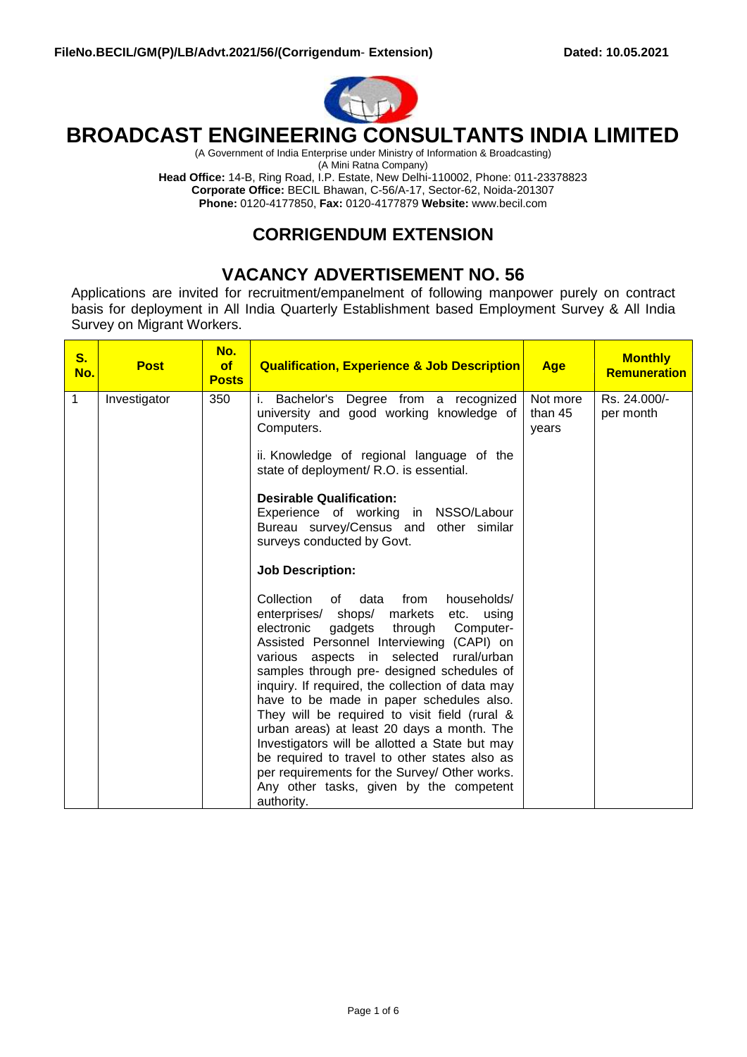

# **BROADCAST ENGINEERING CONSULTANTS INDIA LIMITED**

(A Government of India Enterprise under Ministry of Information & Broadcasting)

(A Mini Ratna Company)

**Head Office:** 14-B, Ring Road, I.P. Estate, New Delhi-110002, Phone: 011-23378823 **Corporate Office:** BECIL Bhawan, C-56/A-17, Sector-62, Noida-201307 **Phone:** 0120-4177850, **Fax:** 0120-4177879 **Website:** [www.becil.com](http://www.becil.com/)

### **CORRIGENDUM EXTENSION**

## **VACANCY ADVERTISEMENT NO. 56**

Applications are invited for recruitment/empanelment of following manpower purely on contract basis for deployment in All India Quarterly Establishment based Employment Survey & All India Survey on Migrant Workers.

| $S_{1}$<br>No. | <b>Post</b>  | No.<br>of<br><b>Posts</b> | <b>Qualification, Experience &amp; Job Description</b>                                                                                                                                                                                                                                                                                                                                                                                                                                                                                                                                                                                                                                          | <b>Age</b>                   | <b>Monthly</b><br><b>Remuneration</b> |
|----------------|--------------|---------------------------|-------------------------------------------------------------------------------------------------------------------------------------------------------------------------------------------------------------------------------------------------------------------------------------------------------------------------------------------------------------------------------------------------------------------------------------------------------------------------------------------------------------------------------------------------------------------------------------------------------------------------------------------------------------------------------------------------|------------------------------|---------------------------------------|
| 1              | Investigator | 350                       | Bachelor's Degree from a recognized<br>i.<br>university and good working knowledge of<br>Computers.                                                                                                                                                                                                                                                                                                                                                                                                                                                                                                                                                                                             | Not more<br>than 45<br>years | Rs. 24.000/-<br>per month             |
|                |              |                           | ii. Knowledge of regional language of the<br>state of deployment/ R.O. is essential.<br><b>Desirable Qualification:</b>                                                                                                                                                                                                                                                                                                                                                                                                                                                                                                                                                                         |                              |                                       |
|                |              |                           | Experience of working in NSSO/Labour<br>Bureau survey/Census and other similar<br>surveys conducted by Govt.                                                                                                                                                                                                                                                                                                                                                                                                                                                                                                                                                                                    |                              |                                       |
|                |              |                           | <b>Job Description:</b>                                                                                                                                                                                                                                                                                                                                                                                                                                                                                                                                                                                                                                                                         |                              |                                       |
|                |              |                           | Collection<br>data<br>from<br>households/<br>0f<br>enterprises/ shops/ markets etc.<br>using<br>gadgets<br>through<br>electronic<br>Computer-<br>Assisted Personnel Interviewing (CAPI) on<br>various aspects in selected rural/urban<br>samples through pre- designed schedules of<br>inquiry. If required, the collection of data may<br>have to be made in paper schedules also.<br>They will be required to visit field (rural &<br>urban areas) at least 20 days a month. The<br>Investigators will be allotted a State but may<br>be required to travel to other states also as<br>per requirements for the Survey/ Other works.<br>Any other tasks, given by the competent<br>authority. |                              |                                       |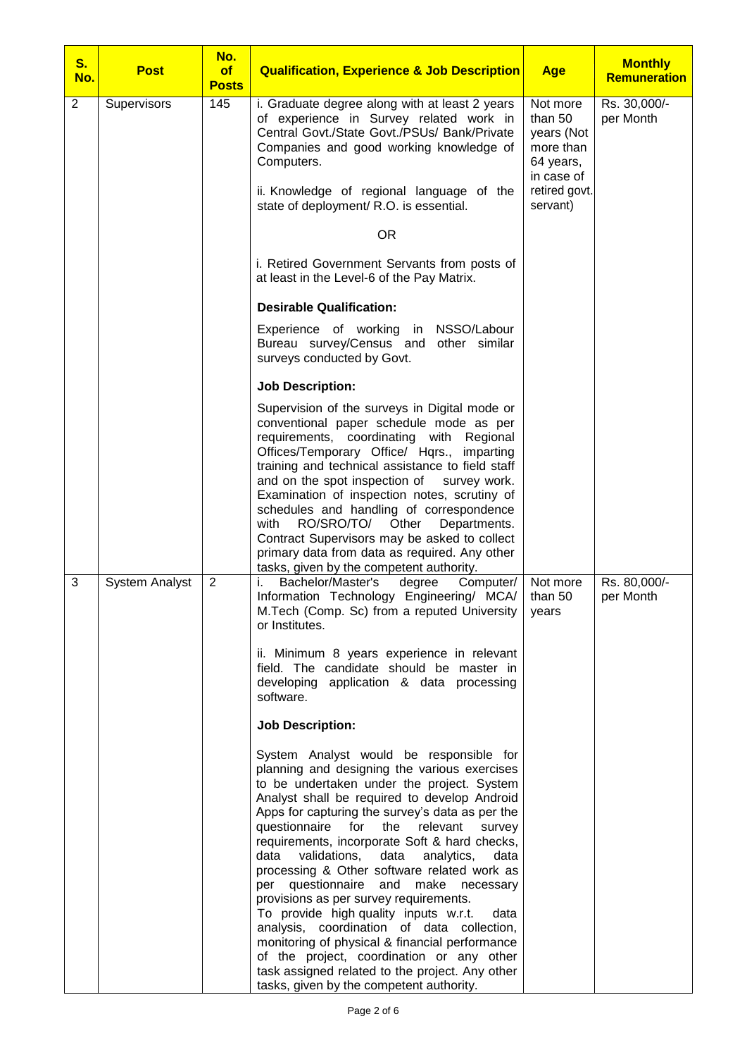| <b>S.</b><br>No. | <b>Post</b>           | No.<br>of<br><b>Posts</b> | <b>Qualification, Experience &amp; Job Description</b>                                                                                                                                                                                                                                                                                                                                                                                                                                                                                                                                                                                                                                                                                                                                                                    | <b>Age</b>                                                                                 | <b>Monthly</b><br><b>Remuneration</b> |
|------------------|-----------------------|---------------------------|---------------------------------------------------------------------------------------------------------------------------------------------------------------------------------------------------------------------------------------------------------------------------------------------------------------------------------------------------------------------------------------------------------------------------------------------------------------------------------------------------------------------------------------------------------------------------------------------------------------------------------------------------------------------------------------------------------------------------------------------------------------------------------------------------------------------------|--------------------------------------------------------------------------------------------|---------------------------------------|
| $\overline{2}$   | Supervisors           | 145                       | i. Graduate degree along with at least 2 years<br>of experience in Survey related work in<br>Central Govt./State Govt./PSUs/ Bank/Private<br>Companies and good working knowledge of<br>Computers.<br>ii. Knowledge of regional language of the                                                                                                                                                                                                                                                                                                                                                                                                                                                                                                                                                                           | Not more<br>than 50<br>years (Not<br>more than<br>64 years,<br>in case of<br>retired govt. | Rs. 30,000/-<br>per Month             |
|                  |                       |                           | state of deployment/ R.O. is essential.                                                                                                                                                                                                                                                                                                                                                                                                                                                                                                                                                                                                                                                                                                                                                                                   | servant)                                                                                   |                                       |
|                  |                       |                           | <b>OR</b>                                                                                                                                                                                                                                                                                                                                                                                                                                                                                                                                                                                                                                                                                                                                                                                                                 |                                                                                            |                                       |
|                  |                       |                           | i. Retired Government Servants from posts of<br>at least in the Level-6 of the Pay Matrix.                                                                                                                                                                                                                                                                                                                                                                                                                                                                                                                                                                                                                                                                                                                                |                                                                                            |                                       |
|                  |                       |                           | <b>Desirable Qualification:</b>                                                                                                                                                                                                                                                                                                                                                                                                                                                                                                                                                                                                                                                                                                                                                                                           |                                                                                            |                                       |
|                  |                       |                           | Experience of working in NSSO/Labour<br>Bureau survey/Census and other similar<br>surveys conducted by Govt.                                                                                                                                                                                                                                                                                                                                                                                                                                                                                                                                                                                                                                                                                                              |                                                                                            |                                       |
|                  |                       |                           | <b>Job Description:</b>                                                                                                                                                                                                                                                                                                                                                                                                                                                                                                                                                                                                                                                                                                                                                                                                   |                                                                                            |                                       |
|                  |                       |                           | Supervision of the surveys in Digital mode or<br>conventional paper schedule mode as per<br>requirements, coordinating with<br>Regional<br>Offices/Temporary Office/ Hqrs., imparting<br>training and technical assistance to field staff<br>and on the spot inspection of<br>survey work.<br>Examination of inspection notes, scrutiny of<br>schedules and handling of correspondence<br>RO/SRO/TO/<br>Other<br>with<br>Departments.<br>Contract Supervisors may be asked to collect<br>primary data from data as required. Any other<br>tasks, given by the competent authority.                                                                                                                                                                                                                                        |                                                                                            |                                       |
| 3                | <b>System Analyst</b> | $\overline{2}$            | Bachelor/Master's<br>degree<br>Computer/<br>i.<br>Information Technology Engineering/ MCA/<br>M. Tech (Comp. Sc) from a reputed University<br>or Institutes.                                                                                                                                                                                                                                                                                                                                                                                                                                                                                                                                                                                                                                                              | Not more<br>than 50<br>years                                                               | Rs. 80,000/-<br>per Month             |
|                  |                       |                           | ii. Minimum 8 years experience in relevant<br>field. The candidate should be master in<br>developing application & data processing<br>software.                                                                                                                                                                                                                                                                                                                                                                                                                                                                                                                                                                                                                                                                           |                                                                                            |                                       |
|                  |                       |                           | <b>Job Description:</b>                                                                                                                                                                                                                                                                                                                                                                                                                                                                                                                                                                                                                                                                                                                                                                                                   |                                                                                            |                                       |
|                  |                       |                           | System Analyst would be responsible for<br>planning and designing the various exercises<br>to be undertaken under the project. System<br>Analyst shall be required to develop Android<br>Apps for capturing the survey's data as per the<br>questionnaire for the relevant<br>survey<br>requirements, incorporate Soft & hard checks,<br>validations,<br>data<br>data<br>analytics,<br>data<br>processing & Other software related work as<br>per questionnaire and make necessary<br>provisions as per survey requirements.<br>To provide high quality inputs w.r.t.<br>data<br>analysis, coordination of data collection,<br>monitoring of physical & financial performance<br>of the project, coordination or any other<br>task assigned related to the project. Any other<br>tasks, given by the competent authority. |                                                                                            |                                       |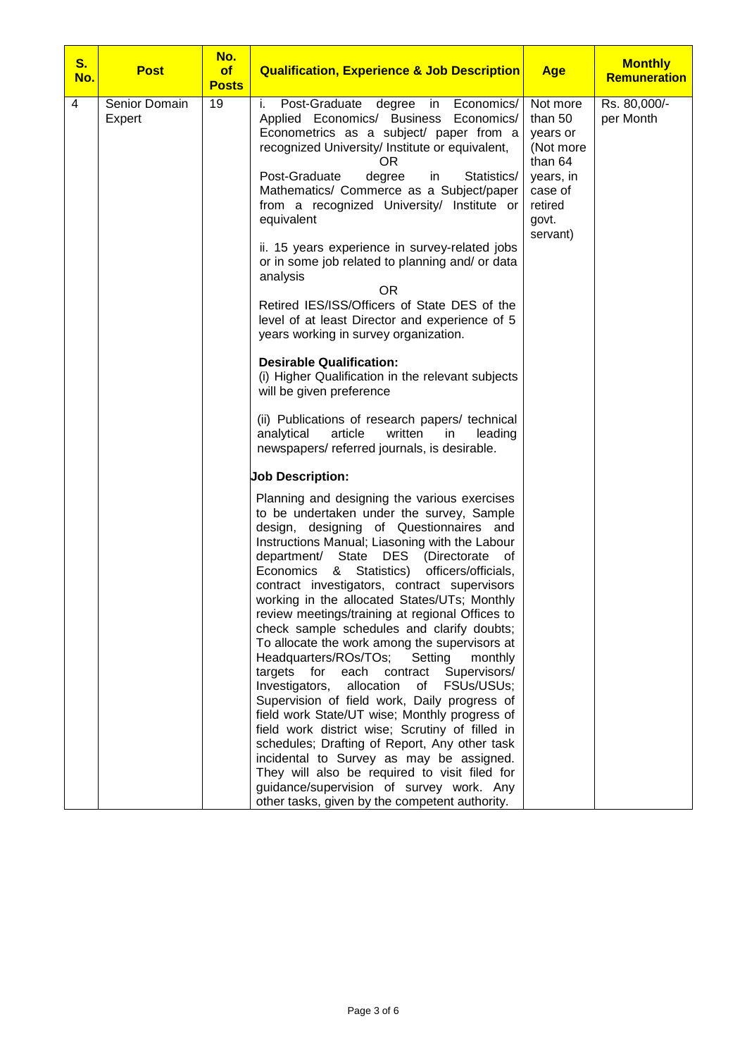| S.<br>No. | <b>Post</b>             | No.<br>of<br><b>Posts</b> | <b>Qualification, Experience &amp; Job Description</b>                                                                                                                                                                                                                                                                                                                                                                                                                                                                                                                                                                                                                                                                                                                                                                                                                                                                                                                                                                                                                                                       | <b>Age</b>                                                                                                      | <b>Monthly</b><br><b>Remuneration</b> |
|-----------|-------------------------|---------------------------|--------------------------------------------------------------------------------------------------------------------------------------------------------------------------------------------------------------------------------------------------------------------------------------------------------------------------------------------------------------------------------------------------------------------------------------------------------------------------------------------------------------------------------------------------------------------------------------------------------------------------------------------------------------------------------------------------------------------------------------------------------------------------------------------------------------------------------------------------------------------------------------------------------------------------------------------------------------------------------------------------------------------------------------------------------------------------------------------------------------|-----------------------------------------------------------------------------------------------------------------|---------------------------------------|
| 4         | Senior Domain<br>Expert | 19                        | i.<br>Post-Graduate degree<br>Economics/<br>in<br>Applied Economics/ Business Economics/<br>Econometrics as a subject/ paper from a<br>recognized University/ Institute or equivalent,<br>OR.<br>Post-Graduate<br>degree<br>Statistics/<br>in<br>Mathematics/ Commerce as a Subject/paper<br>from a recognized University/ Institute or<br>equivalent                                                                                                                                                                                                                                                                                                                                                                                                                                                                                                                                                                                                                                                                                                                                                        | Not more<br>than 50<br>years or<br>(Not more<br>than 64<br>years, in<br>case of<br>retired<br>govt.<br>servant) | Rs. 80,000/-<br>per Month             |
|           |                         |                           | ii. 15 years experience in survey-related jobs<br>or in some job related to planning and/ or data<br>analysis<br><b>OR</b><br>Retired IES/ISS/Officers of State DES of the<br>level of at least Director and experience of 5<br>years working in survey organization.                                                                                                                                                                                                                                                                                                                                                                                                                                                                                                                                                                                                                                                                                                                                                                                                                                        |                                                                                                                 |                                       |
|           |                         |                           | <b>Desirable Qualification:</b><br>(i) Higher Qualification in the relevant subjects<br>will be given preference                                                                                                                                                                                                                                                                                                                                                                                                                                                                                                                                                                                                                                                                                                                                                                                                                                                                                                                                                                                             |                                                                                                                 |                                       |
|           |                         |                           | (ii) Publications of research papers/ technical<br>article<br>analytical<br>written<br>in.<br>leading<br>newspapers/referred journals, is desirable.                                                                                                                                                                                                                                                                                                                                                                                                                                                                                                                                                                                                                                                                                                                                                                                                                                                                                                                                                         |                                                                                                                 |                                       |
|           |                         |                           | <b>Job Description:</b>                                                                                                                                                                                                                                                                                                                                                                                                                                                                                                                                                                                                                                                                                                                                                                                                                                                                                                                                                                                                                                                                                      |                                                                                                                 |                                       |
|           |                         |                           | Planning and designing the various exercises<br>to be undertaken under the survey, Sample<br>design, designing of Questionnaires and<br>Instructions Manual; Liasoning with the Labour<br>department/<br>State<br>DES<br>(Directorate)<br>οf<br>officers/officials,<br>Statistics)<br>Economics<br>&<br>contract investigators, contract supervisors<br>working in the allocated States/UTs; Monthly<br>review meetings/training at regional Offices to<br>check sample schedules and clarify doubts;<br>To allocate the work among the supervisors at<br>Headquarters/ROs/TOs;<br>Setting<br>monthly<br>Supervisors/<br>targets<br>for<br>each contract<br>Investigators,<br>allocation<br>FSUs/USUs;<br>of<br>Supervision of field work, Daily progress of<br>field work State/UT wise; Monthly progress of<br>field work district wise; Scrutiny of filled in<br>schedules; Drafting of Report, Any other task<br>incidental to Survey as may be assigned.<br>They will also be required to visit filed for<br>guidance/supervision of survey work. Any<br>other tasks, given by the competent authority. |                                                                                                                 |                                       |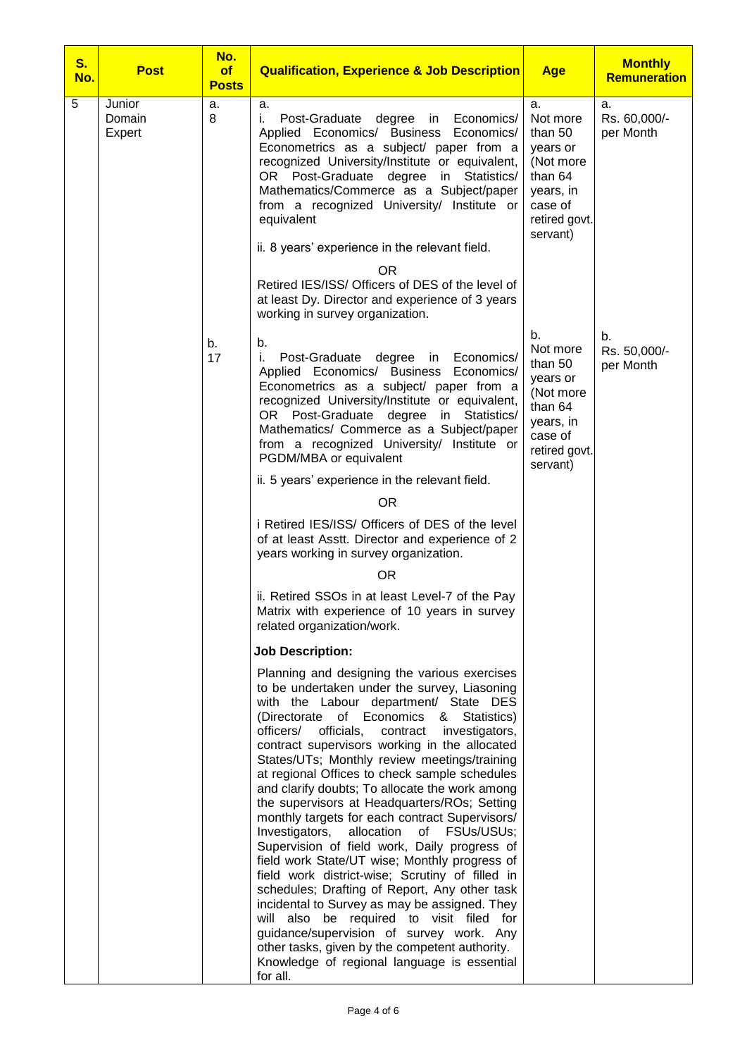| <b>S.</b><br>No. | <b>Post</b>                | No.<br>of<br><b>Posts</b> | <b>Qualification, Experience &amp; Job Description</b>                                                                                                                                                                                                                                                                                                                                                                                                                                                                                                                                                                                                                                                                                                                                                                                                                                                                                                                                                                                                            | <b>Age</b>                                                                                                         | <b>Monthly</b><br><b>Remuneration</b> |
|------------------|----------------------------|---------------------------|-------------------------------------------------------------------------------------------------------------------------------------------------------------------------------------------------------------------------------------------------------------------------------------------------------------------------------------------------------------------------------------------------------------------------------------------------------------------------------------------------------------------------------------------------------------------------------------------------------------------------------------------------------------------------------------------------------------------------------------------------------------------------------------------------------------------------------------------------------------------------------------------------------------------------------------------------------------------------------------------------------------------------------------------------------------------|--------------------------------------------------------------------------------------------------------------------|---------------------------------------|
| 5                | Junior<br>Domain<br>Expert | a.<br>8                   | a.<br>i.<br>Post-Graduate degree in<br>Economics/<br>Applied Economics/ Business Economics/<br>Econometrics as a subject/ paper from a<br>recognized University/Institute or equivalent,<br>OR Post-Graduate degree in Statistics/<br>Mathematics/Commerce as a Subject/paper<br>from a recognized University/ Institute or<br>equivalent<br>ii. 8 years' experience in the relevant field.<br>OR.<br>Retired IES/ISS/ Officers of DES of the level of<br>at least Dy. Director and experience of 3 years<br>working in survey organization.                                                                                                                                                                                                                                                                                                                                                                                                                                                                                                                      | a.<br>Not more<br>than 50<br>years or<br>(Not more<br>than 64<br>years, in<br>case of<br>retired govt.<br>servant) | a.<br>Rs. 60,000/-<br>per Month       |
|                  |                            | b.<br>17                  | b.<br>i.<br>Post-Graduate degree in<br>Economics/<br>Applied Economics/ Business Economics/<br>Econometrics as a subject/ paper from a<br>recognized University/Institute or equivalent,<br>OR Post-Graduate degree<br>in Statistics/<br>Mathematics/ Commerce as a Subject/paper<br>from a recognized University/ Institute or<br>PGDM/MBA or equivalent                                                                                                                                                                                                                                                                                                                                                                                                                                                                                                                                                                                                                                                                                                         | b.<br>Not more<br>than 50<br>years or<br>(Not more<br>than 64<br>years, in<br>case of<br>retired govt.<br>servant) | b.<br>Rs. 50,000/-<br>per Month       |
|                  |                            |                           | ii. 5 years' experience in the relevant field.<br><b>OR</b>                                                                                                                                                                                                                                                                                                                                                                                                                                                                                                                                                                                                                                                                                                                                                                                                                                                                                                                                                                                                       |                                                                                                                    |                                       |
|                  |                            |                           | i Retired IES/ISS/ Officers of DES of the level<br>of at least Asstt. Director and experience of 2<br>years working in survey organization.                                                                                                                                                                                                                                                                                                                                                                                                                                                                                                                                                                                                                                                                                                                                                                                                                                                                                                                       |                                                                                                                    |                                       |
|                  |                            |                           | <b>OR</b>                                                                                                                                                                                                                                                                                                                                                                                                                                                                                                                                                                                                                                                                                                                                                                                                                                                                                                                                                                                                                                                         |                                                                                                                    |                                       |
|                  |                            |                           | ii. Retired SSOs in at least Level-7 of the Pay<br>Matrix with experience of 10 years in survey<br>related organization/work.                                                                                                                                                                                                                                                                                                                                                                                                                                                                                                                                                                                                                                                                                                                                                                                                                                                                                                                                     |                                                                                                                    |                                       |
|                  |                            |                           | <b>Job Description:</b>                                                                                                                                                                                                                                                                                                                                                                                                                                                                                                                                                                                                                                                                                                                                                                                                                                                                                                                                                                                                                                           |                                                                                                                    |                                       |
|                  |                            |                           | Planning and designing the various exercises<br>to be undertaken under the survey, Liasoning<br>with the Labour department/ State DES<br>(Directorate<br>of Economics<br>&<br>Statistics)<br>officers/<br>officials,<br>contract<br>investigators,<br>contract supervisors working in the allocated<br>States/UTs; Monthly review meetings/training<br>at regional Offices to check sample schedules<br>and clarify doubts; To allocate the work among<br>the supervisors at Headquarters/ROs; Setting<br>monthly targets for each contract Supervisors/<br>Investigators,<br>allocation of FSUs/USUs;<br>Supervision of field work, Daily progress of<br>field work State/UT wise; Monthly progress of<br>field work district-wise; Scrutiny of filled in<br>schedules; Drafting of Report, Any other task<br>incidental to Survey as may be assigned. They<br>will also be required to visit filed for<br>guidance/supervision of survey work. Any<br>other tasks, given by the competent authority.<br>Knowledge of regional language is essential<br>for all. |                                                                                                                    |                                       |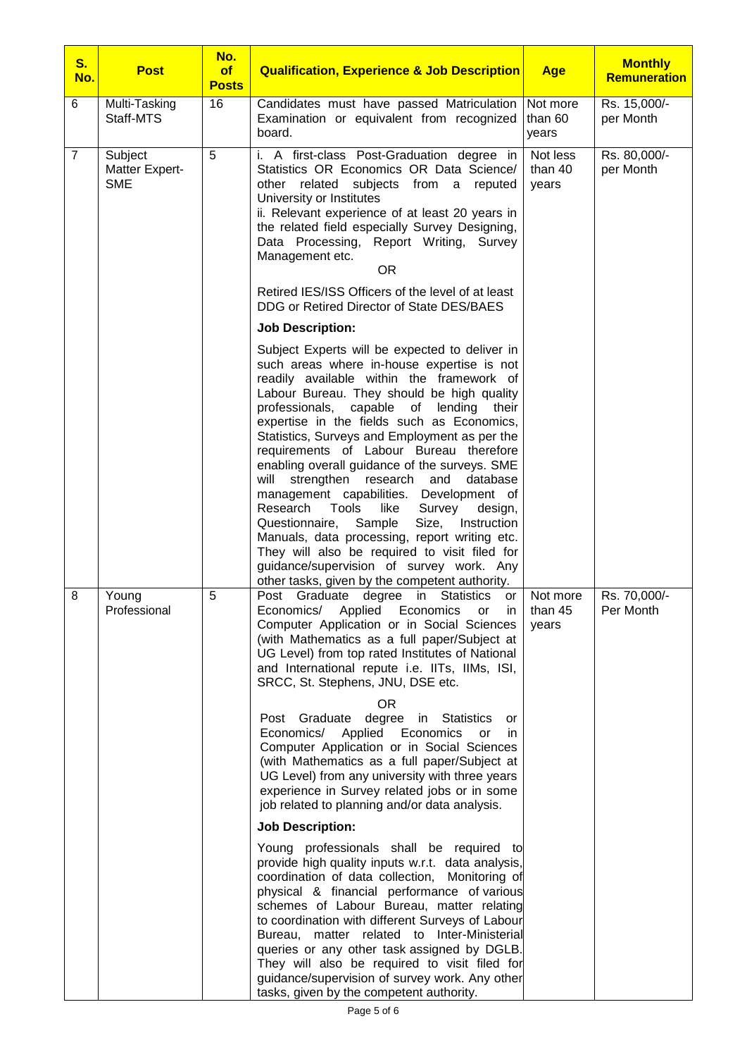| <b>S.</b><br>No. | <b>Post</b>                             | No.<br>of<br><b>Posts</b> | <b>Qualification, Experience &amp; Job Description</b>                                                                                                                                                                                                                                                                                                                                                                                                                                                                                                                                                                                                                                                                                                                                                                                       | <b>Age</b>                   | <b>Monthly</b><br><b>Remuneration</b> |
|------------------|-----------------------------------------|---------------------------|----------------------------------------------------------------------------------------------------------------------------------------------------------------------------------------------------------------------------------------------------------------------------------------------------------------------------------------------------------------------------------------------------------------------------------------------------------------------------------------------------------------------------------------------------------------------------------------------------------------------------------------------------------------------------------------------------------------------------------------------------------------------------------------------------------------------------------------------|------------------------------|---------------------------------------|
| 6                | Multi-Tasking<br>Staff-MTS              | 16                        | Candidates must have passed Matriculation<br>Examination or equivalent from recognized<br>board.                                                                                                                                                                                                                                                                                                                                                                                                                                                                                                                                                                                                                                                                                                                                             | Not more<br>than 60<br>years | Rs. 15,000/-<br>per Month             |
| $\overline{7}$   | Subject<br>Matter Expert-<br><b>SME</b> | 5                         | i. A first-class Post-Graduation degree in<br>Statistics OR Economics OR Data Science/<br>other related subjects from a<br>reputed<br>University or Institutes<br>ii. Relevant experience of at least 20 years in<br>the related field especially Survey Designing,<br>Data Processing, Report Writing, Survey<br>Management etc.<br><b>OR</b>                                                                                                                                                                                                                                                                                                                                                                                                                                                                                               | Not less<br>than 40<br>years | Rs. 80,000/-<br>per Month             |
|                  |                                         |                           | Retired IES/ISS Officers of the level of at least<br>DDG or Retired Director of State DES/BAES                                                                                                                                                                                                                                                                                                                                                                                                                                                                                                                                                                                                                                                                                                                                               |                              |                                       |
|                  |                                         |                           | <b>Job Description:</b>                                                                                                                                                                                                                                                                                                                                                                                                                                                                                                                                                                                                                                                                                                                                                                                                                      |                              |                                       |
|                  |                                         |                           | Subject Experts will be expected to deliver in<br>such areas where in-house expertise is not<br>readily available within the framework of<br>Labour Bureau. They should be high quality<br>capable<br>professionals,<br>lending<br>of<br>their<br>expertise in the fields such as Economics,<br>Statistics, Surveys and Employment as per the<br>requirements of Labour Bureau therefore<br>enabling overall guidance of the surveys. SME<br>will<br>strengthen<br>research and<br>database<br>management capabilities. Development of<br>Tools<br>like<br>Research<br>Survey<br>design,<br>Sample<br>Size,<br>Instruction<br>Questionnaire,<br>Manuals, data processing, report writing etc.<br>They will also be required to visit filed for<br>guidance/supervision of survey work. Any<br>other tasks, given by the competent authority. |                              |                                       |
| 8                | Young<br>Professional                   | 5                         | Post Graduate degree in<br><b>Statistics</b><br>or<br>Economics<br>Economics/ Applied<br>or<br>ın<br>Computer Application or in Social Sciences<br>(with Mathematics as a full paper/Subject at<br>UG Level) from top rated Institutes of National<br>and International repute i.e. IITs, IIMs, ISI,<br>SRCC, St. Stephens, JNU, DSE etc.<br>0R<br>degree in Statistics<br>Post Graduate<br>or                                                                                                                                                                                                                                                                                                                                                                                                                                               | Not more<br>than 45<br>years | Rs. 70,000/-<br>Per Month             |
|                  |                                         |                           | Applied<br>Economics<br>Economics/<br>or<br>in<br>Computer Application or in Social Sciences<br>(with Mathematics as a full paper/Subject at<br>UG Level) from any university with three years<br>experience in Survey related jobs or in some<br>job related to planning and/or data analysis.                                                                                                                                                                                                                                                                                                                                                                                                                                                                                                                                              |                              |                                       |
|                  |                                         |                           | <b>Job Description:</b>                                                                                                                                                                                                                                                                                                                                                                                                                                                                                                                                                                                                                                                                                                                                                                                                                      |                              |                                       |
|                  |                                         |                           | Young professionals shall be required to<br>provide high quality inputs w.r.t. data analysis,<br>coordination of data collection, Monitoring of<br>physical & financial performance of various<br>schemes of Labour Bureau, matter relating<br>to coordination with different Surveys of Labour<br>Bureau, matter related to Inter-Ministerial<br>queries or any other task assigned by DGLB.<br>They will also be required to visit filed for<br>guidance/supervision of survey work. Any other<br>tasks, given by the competent authority.                                                                                                                                                                                                                                                                                                 |                              |                                       |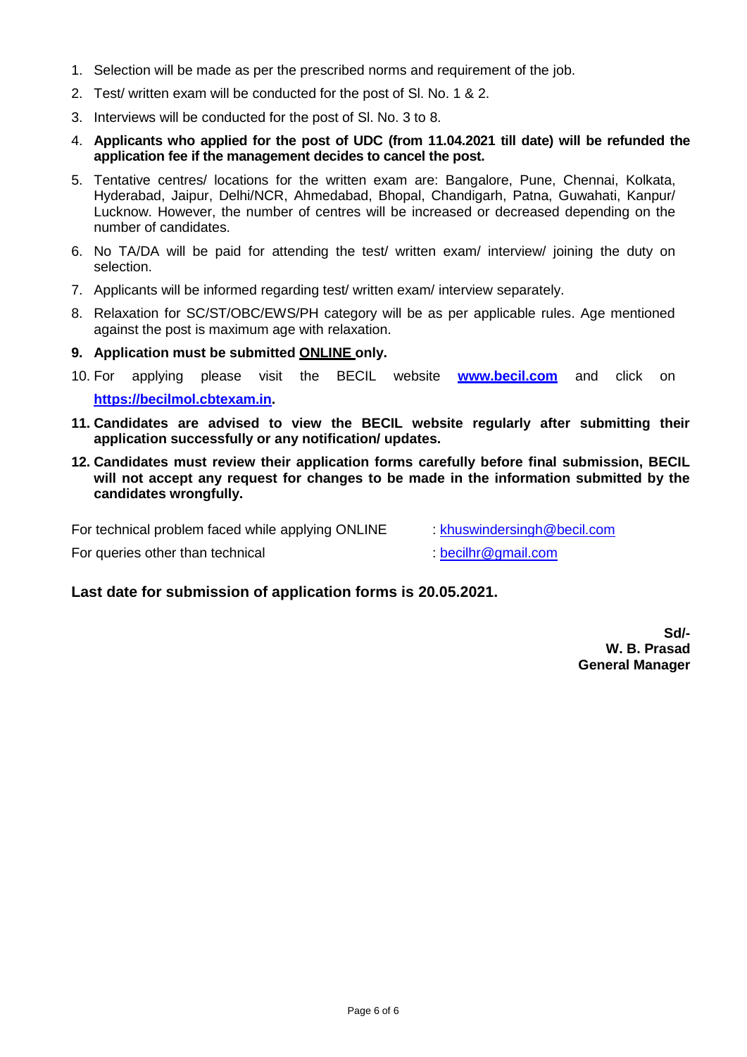- 1. Selection will be made as per the prescribed norms and requirement of the job.
- 2. Test/ written exam will be conducted for the post of Sl. No. 1 & 2.
- 3. Interviews will be conducted for the post of Sl. No. 3 to 8.
- 4. **Applicants who applied for the post of UDC (from 11.04.2021 till date) will be refunded the application fee if the management decides to cancel the post.**
- 5. Tentative centres/ locations for the written exam are: Bangalore, Pune, Chennai, Kolkata, Hyderabad, Jaipur, Delhi/NCR, Ahmedabad, Bhopal, Chandigarh, Patna, Guwahati, Kanpur/ Lucknow. However, the number of centres will be increased or decreased depending on the number of candidates.
- 6. No TA/DA will be paid for attending the test/ written exam/ interview/ joining the duty on selection.
- 7. Applicants will be informed regarding test/ written exam/ interview separately.
- 8. Relaxation for SC/ST/OBC/EWS/PH category will be as per applicable rules. Age mentioned against the post is maximum age with relaxation.
- **9. Application must be submitted ONLINE only.**
- 10. For applying please visit the BECIL website **[www.becil.com](http://www.becil.com/)** and click on **[https://becilmol.cbtexam.in.](https://becilmol.cbtexam.in/)**
- **11. Candidates are advised to view the BECIL website regularly after submitting their application successfully or any notification/ updates.**
- **12. Candidates must review their application forms carefully before final submission, BECIL will not accept any request for changes to be made in the information submitted by the candidates wrongfully.**

For technical problem faced while applying ONLINE : [khuswindersingh@becil.com](mailto:khuswindersingh@becil.com)

For queries other than technical : [becilhr@gmail.com](mailto:becilhr@gmail.com)

#### **Last date for submission of application forms is 20.05.2021.**

**Sd/- W. B. Prasad General Manager**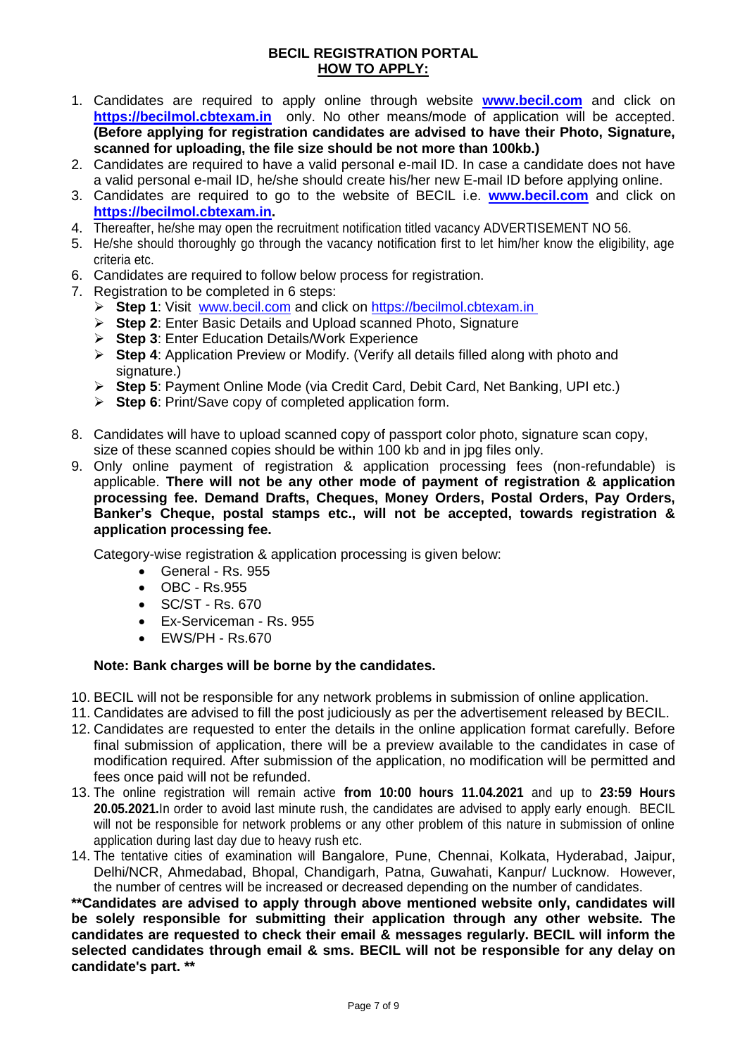#### **BECIL REGISTRATION PORTAL HOW TO APPLY:**

- 1. Candidates are required to apply online through website **[www.becil.com](http://www.becil.com/)** and click on **[https://becilmol.cbtexam.in](https://becilmol.cbtexam.in/)** only. No other means/mode of application will be accepted. **(Before applying for registration candidates are advised to have their Photo, Signature, scanned for uploading, the file size should be not more than 100kb.)**
- 2. Candidates are required to have a valid personal e-mail ID. In case a candidate does not have a valid personal e-mail ID, he/she should create his/her new E-mail ID before applying online.
- 3. Candidates are required to go to the website of BECIL i.e. **[www.becil.com](http://www.becil.com/)** and click on **[https://becilmol.cbtexam.in.](https://becilmol.cbtexam.in/)**
- 4. Thereafter, he/she may open the recruitment notification titled vacancy ADVERTISEMENT NO 56.
- 5. He/she should thoroughly go through the vacancy notification first to let him/her know the eligibility, age criteria etc.
- 6. Candidates are required to follow below process for registration.
- 7. Registration to be completed in 6 steps:
	- **Step 1**: Visit [www.becil.com](http://www.becil.com/) and click on [https://becilmol.cbtexam.in](https://becilmol.cbtexam.in/)
	- **Step 2**: Enter Basic Details and Upload scanned Photo, Signature
	- **Step 3**: Enter Education Details/Work Experience
	- **Step 4**: Application Preview or Modify. (Verify all details filled along with photo and signature.)
	- **Step 5**: Payment Online Mode (via Credit Card, Debit Card, Net Banking, UPI etc.)
	- **Step 6**: Print/Save copy of completed application form.
- 8. Candidates will have to upload scanned copy of passport color photo, signature scan copy, size of these scanned copies should be within 100 kb and in jpg files only.
- 9. Only online payment of registration & application processing fees (non-refundable) is applicable. **There will not be any other mode of payment of registration & application processing fee. Demand Drafts, Cheques, Money Orders, Postal Orders, Pay Orders, Banker's Cheque, postal stamps etc., will not be accepted, towards registration & application processing fee.**

Category-wise registration & application processing is given below:

- General Rs. 955
- OBC Rs.955
- SC/ST Rs. 670
- Ex-Serviceman Rs. 955
- EWS/PH Rs.670

#### **Note: Bank charges will be borne by the candidates.**

- 10. BECIL will not be responsible for any network problems in submission of online application.
- 11. Candidates are advised to fill the post judiciously as per the advertisement released by BECIL.
- 12. Candidates are requested to enter the details in the online application format carefully. Before final submission of application, there will be a preview available to the candidates in case of modification required. After submission of the application, no modification will be permitted and fees once paid will not be refunded.
- 13. The online registration will remain active **from 10:00 hours 11.04.2021** and up to **23:59 Hours 20.05.2021.**In order to avoid last minute rush, the candidates are advised to apply early enough. BECIL will not be responsible for network problems or any other problem of this nature in submission of online application during last day due to heavy rush etc.
- 14. The tentative cities of examination will Bangalore, Pune, Chennai, Kolkata, Hyderabad, Jaipur, Delhi/NCR, Ahmedabad, Bhopal, Chandigarh, Patna, Guwahati, Kanpur/ Lucknow. However, the number of centres will be increased or decreased depending on the number of candidates.

**\*\*Candidates are advised to apply through above mentioned website only, candidates will be solely responsible for submitting their application through any other website. The candidates are requested to check their email & messages regularly. BECIL will inform the selected candidates through email & sms. BECIL will not be responsible for any delay on candidate's part. \*\***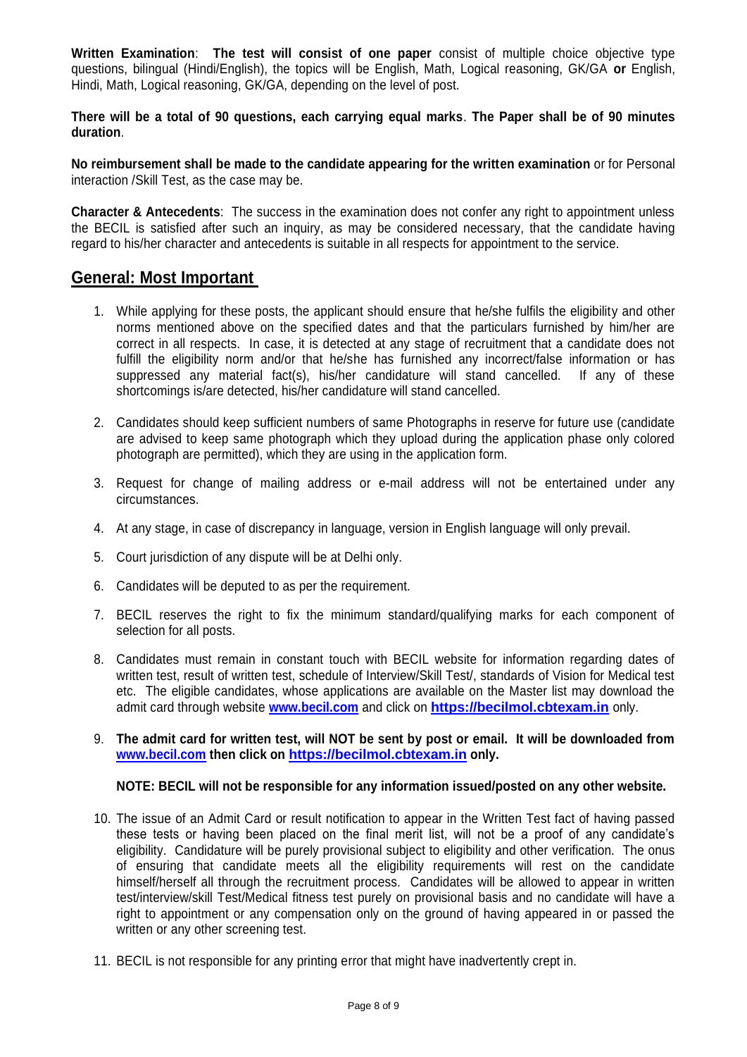**Written Examination**: **The test will consist of one paper** consist of multiple choice objective type questions, bilingual (Hindi/English), the topics will be English, Math, Logical reasoning, GK/GA **or** English, Hindi, Math, Logical reasoning, GK/GA, depending on the level of post.

**There will be a total of 90 questions, each carrying equal marks**. **The Paper shall be of 90 minutes duration**.

**No reimbursement shall be made to the candidate appearing for the written examination** or for Personal interaction /Skill Test, as the case may be.

**Character & Antecedents**: The success in the examination does not confer any right to appointment unless the BECIL is satisfied after such an inquiry, as may be considered necessary, that the candidate having regard to his/her character and antecedents is suitable in all respects for appointment to the service.

### **General: Most Important**

- 1. While applying for these posts, the applicant should ensure that he/she fulfils the eligibility and other norms mentioned above on the specified dates and that the particulars furnished by him/her are correct in all respects. In case, it is detected at any stage of recruitment that a candidate does not fulfill the eligibility norm and/or that he/she has furnished any incorrect/false information or has suppressed any material fact(s), his/her candidature will stand cancelled. If any of these shortcomings is/are detected, his/her candidature will stand cancelled.
- 2. Candidates should keep sufficient numbers of same Photographs in reserve for future use (candidate are advised to keep same photograph which they upload during the application phase only colored photograph are permitted), which they are using in the application form.
- 3. Request for change of mailing address or e-mail address will not be entertained under any circumstances.
- 4. At any stage, in case of discrepancy in language, version in English language will only prevail.
- 5. Court jurisdiction of any dispute will be at Delhi only.
- 6. Candidates will be deputed to as per the requirement.
- 7. BECIL reserves the right to fix the minimum standard/qualifying marks for each component of selection for all posts.
- 8. Candidates must remain in constant touch with BECIL website for information regarding dates of written test, result of written test, schedule of Interview/Skill Test/, standards of Vision for Medical test etc. The eligible candidates, whose applications are available on the Master list may download the admit card through website **[www.becil.com](http://www.becil.com/)** and click on **[https://becilmol.cbtexam.in](https://becilmol.cbtexam.in/)** only.
- 9. **The admit card for written test, will NOT be sent by post or email. It will be downloaded from [www.becil.com](http://www.becil.com/) then click on [https://becilmol.cbtexam.in](https://becilmol.cbtexam.in/) only.**

#### **NOTE: BECIL will not be responsible for any information issued/posted on any other website.**

- 10. The issue of an Admit Card or result notification to appear in the Written Test fact of having passed these tests or having been placed on the final merit list, will not be a proof of any candidate's eligibility. Candidature will be purely provisional subject to eligibility and other verification. The onus of ensuring that candidate meets all the eligibility requirements will rest on the candidate himself/herself all through the recruitment process. Candidates will be allowed to appear in written test/interview/skill Test/Medical fitness test purely on provisional basis and no candidate will have a right to appointment or any compensation only on the ground of having appeared in or passed the written or any other screening test.
- 11. BECIL is not responsible for any printing error that might have inadvertently crept in.